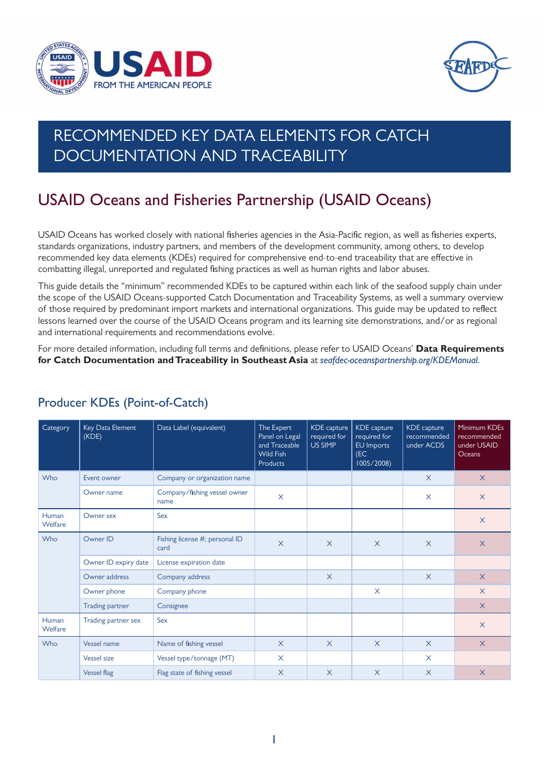



# RECOMMENDED KEY DATA ELEMENTS FOR CATCH DOCUMENTATION AND TRACEABILITY

## USAID Oceans and Fisheries Partnership (USAID Oceans)

USAID Oceans has worked closely with national fisheries agencies in the Asia-Pacific region, as well as fisheries experts, standards organizations, industry partners, and members of the development community, among others, to develop recommended key data elements (KDEs) required for comprehensive end-to-end traceability that are effective in combatting illegal, unreported and regulated fishing practices as well as human rights and labor abuses.

This guide details the "minimum" recommended KDEs to be captured within each link of the seafood supply chain under the scope of the USAID Oceans-supported Catch Documentation and Traceability Systems, as well a summary overview of those required by predominant import markets and international organizations. This guide may be updated to reflect lessons learned over the course of the USAID Oceans program and its learning site demonstrations, and/or as regional and international requirements and recommendations evolve.

For more detailed information, including full terms and definitions, please refer to USAID Oceans' **Data Requirements for Catch Documentation and Traceability in Southeast Asia** at *seafdec-oceanspartnership.org/KDEManual.*

| Category         | Key Data Element<br>(KDE) | Data Label (equivalent)                | The Expert<br>Panel on Legal<br>and Traceable<br><b>Wild Fish</b><br><b>Products</b> | <b>KDE</b> capture<br>required for<br>US SIMP | <b>KDE</b> capture<br>required for<br>EU Imports<br>(EC)<br>1005/2008 | KDE capture<br>recommended<br>under ACDS | Minimum KDEs<br>recommended<br>under USAID<br>Oceans |
|------------------|---------------------------|----------------------------------------|--------------------------------------------------------------------------------------|-----------------------------------------------|-----------------------------------------------------------------------|------------------------------------------|------------------------------------------------------|
| Who              | Event owner               | Company or organization name           |                                                                                      |                                               |                                                                       | $\times$                                 | $\times$                                             |
|                  | Owner name                | Company/fishing vessel owner<br>name   | $\times$                                                                             |                                               |                                                                       | $\times$                                 | $\times$                                             |
| Human<br>Welfare | Owner sex                 | Sex                                    |                                                                                      |                                               |                                                                       |                                          | $\times$                                             |
| Who              | Owner ID                  | Fishing license #; personal ID<br>card | $\overline{X}$                                                                       | $\times$                                      | $\times$                                                              | $\times$                                 | $\times$                                             |
|                  | Owner ID expiry date      | License expiration date                |                                                                                      |                                               |                                                                       |                                          |                                                      |
|                  | Owner address             | Company address                        |                                                                                      | $\times$                                      |                                                                       | $\times$                                 | $\times$                                             |
|                  | Owner phone               | Company phone                          |                                                                                      |                                               | X                                                                     |                                          | $\times$                                             |
|                  | Trading partner           | Consignee                              |                                                                                      |                                               |                                                                       |                                          | $\times$                                             |
| Human<br>Welfare | Trading partner sex       | Sex                                    |                                                                                      |                                               |                                                                       |                                          | $\times$                                             |
| Who              | <b>Vessel name</b>        | Name of fishing vessel                 | $\times$                                                                             | $\times$                                      | $\times$                                                              | $\times$                                 | $\times$                                             |
|                  | <b>Vessel size</b>        | Vessel type/tonnage (MT)               | $\times$                                                                             |                                               |                                                                       | X                                        |                                                      |
|                  | <b>Vessel flag</b>        | Flag state of fishing vessel           | $\times$                                                                             | $\times$                                      | $\times$                                                              | $\times$                                 | $\times$                                             |

#### Producer KDEs (Point-of-Catch)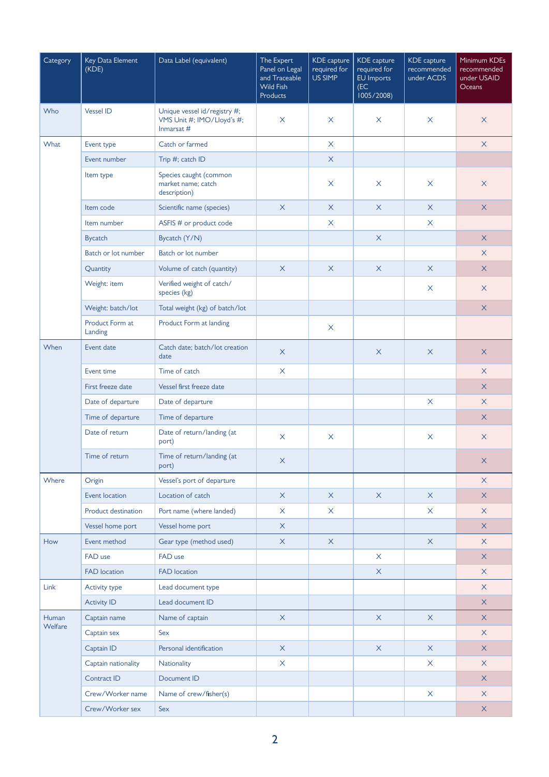| Category         | Key Data Element<br>(KDE)  | Data Label (equivalent)                                                  | The Expert<br>Panel on Legal<br>and Traceable<br><b>Wild Fish</b><br><b>Products</b> | <b>KDE</b> capture<br>required for<br>US SIMP | KDE capture<br>required for<br>EU Imports<br>(EC)<br>1005/2008) | KDE capture<br>recommended<br>under ACDS | Minimum KDEs<br>recommended<br>under USAID<br>Oceans |
|------------------|----------------------------|--------------------------------------------------------------------------|--------------------------------------------------------------------------------------|-----------------------------------------------|-----------------------------------------------------------------|------------------------------------------|------------------------------------------------------|
| Who              | <b>Vessel ID</b>           | Unique vessel id/registry #;<br>VMS Unit #; IMO/Lloyd's #;<br>Inmarsat # | $\boldsymbol{\times}$                                                                | X                                             | $\boldsymbol{\mathsf{X}}$                                       | $\times$                                 | $\mathsf X$                                          |
| What             | Event type                 | Catch or farmed                                                          |                                                                                      | $\times$                                      |                                                                 |                                          | $\mathsf X$                                          |
|                  | Event number               | Trip #; catch ID                                                         |                                                                                      | $\times$                                      |                                                                 |                                          |                                                      |
|                  | Item type                  | Species caught (common<br>market name: catch<br>description)             |                                                                                      | X                                             | $\times$                                                        | $\times$                                 | $\times$                                             |
|                  | Item code                  | Scientific name (species)                                                | $\boldsymbol{\mathsf{X}}$                                                            | $\times$                                      | $\times$                                                        | $\times$                                 | $\mathsf{X}$                                         |
|                  | Item number                | ASFIS # or product code                                                  |                                                                                      | X                                             |                                                                 | $\times$                                 |                                                      |
|                  | <b>Bycatch</b>             | Bycatch (Y/N)                                                            |                                                                                      |                                               | $\times$                                                        |                                          | $\overline{\mathsf{X}}$                              |
|                  | Batch or lot number        | Batch or lot number                                                      |                                                                                      |                                               |                                                                 |                                          | $\times$                                             |
|                  | Quantity                   | Volume of catch (quantity)                                               | $\times$                                                                             | $\times$                                      | $\times$                                                        | $\times$                                 | $\mathsf{X}$                                         |
|                  | Weight: item               | Verified weight of catch/<br>species (kg)                                |                                                                                      |                                               |                                                                 | $\times$                                 | $\times$                                             |
|                  | Weight: batch/lot          | Total weight (kg) of batch/lot                                           |                                                                                      |                                               |                                                                 |                                          | $\mathsf{X}$                                         |
|                  | Product Form at<br>Landing | Product Form at landing                                                  |                                                                                      | $\times$                                      |                                                                 |                                          |                                                      |
| When             | Event date                 | Catch date; batch/lot creation<br>date                                   | $\times$                                                                             |                                               | $\times$                                                        | $\times$                                 | $\times$                                             |
|                  | Event time                 | Time of catch                                                            | $\times$                                                                             |                                               |                                                                 |                                          | $\times$                                             |
|                  | First freeze date          | Vessel first freeze date                                                 |                                                                                      |                                               |                                                                 |                                          | X                                                    |
|                  | Date of departure          | Date of departure                                                        |                                                                                      |                                               |                                                                 | $\times$                                 | $\times$                                             |
|                  | Time of departure          | Time of departure                                                        |                                                                                      |                                               |                                                                 |                                          | X                                                    |
|                  | Date of return             | Date of return/landing (at<br>port)                                      | $\times$                                                                             | X                                             |                                                                 | $\times$                                 | X                                                    |
|                  | Time of return             | Time of return/landing (at<br>port)                                      | X                                                                                    |                                               |                                                                 |                                          | X                                                    |
| Where            | Origin                     | Vessel's port of departure                                               |                                                                                      |                                               |                                                                 |                                          | $\times$                                             |
|                  | Event location             | Location of catch                                                        | $\times$                                                                             | $\times$                                      | $\times$                                                        | $\times$                                 | $\mathsf{X}$                                         |
|                  | Product destination        | Port name (where landed)                                                 | $\times$                                                                             | X                                             |                                                                 | $\times$                                 | $\times$                                             |
|                  | Vessel home port           | Vessel home port                                                         | $\mathsf X$                                                                          |                                               |                                                                 |                                          | $\mathsf X$                                          |
| How              | Event method               | Gear type (method used)                                                  | $\mathsf X$                                                                          | $\mathsf{X}$                                  |                                                                 | $\times$                                 | $\times$                                             |
|                  | FAD use                    | FAD use                                                                  |                                                                                      |                                               | $\times$                                                        |                                          | $\mathsf X$                                          |
|                  | <b>FAD</b> location        | <b>FAD</b> location                                                      |                                                                                      |                                               | $\mathsf X$                                                     |                                          | $\times$                                             |
| Link             | Activity type              | Lead document type                                                       |                                                                                      |                                               |                                                                 |                                          | $\times$                                             |
|                  | <b>Activity ID</b>         | Lead document ID                                                         |                                                                                      |                                               |                                                                 |                                          | $\times$                                             |
| Human<br>Welfare | Captain name               | Name of captain                                                          | $\mathsf X$                                                                          |                                               | $\mathsf X$                                                     | $\times$                                 | $\mathsf X$                                          |
|                  | Captain sex                | Sex                                                                      |                                                                                      |                                               |                                                                 |                                          | $\times$                                             |
|                  | Captain ID                 | Personal identification                                                  | $\bar{\mathsf{X}}$                                                                   |                                               | $\mathsf X$                                                     | $\mathsf X$                              | $\times$                                             |
|                  | Captain nationality        | Nationality                                                              | $\boldsymbol{\mathsf{X}}$                                                            |                                               |                                                                 | $\times$                                 | $\times$                                             |
|                  | Contract ID                | Document ID                                                              |                                                                                      |                                               |                                                                 |                                          | $\mathsf X$                                          |
|                  | Crew/Worker name           | Name of crew/fisher(s)                                                   |                                                                                      |                                               |                                                                 | $\times$                                 | $\times$                                             |
|                  | Crew/Worker sex            | Sex                                                                      |                                                                                      |                                               |                                                                 |                                          | $\mathsf X$                                          |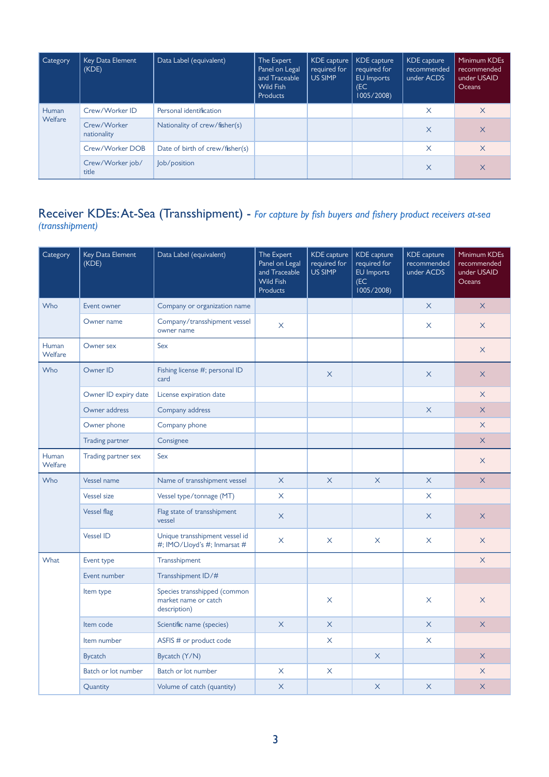| Category | Key Data Element<br>(KDE)  | Data Label (equivalent)         | The Expert<br>Panel on Legal<br>and Traceable<br>Wild Fish<br>Products | KDE capture<br>required for<br>US SIMP | KDE capture<br>required for<br>EU Imports<br>(EC<br>1005/2008) | KDE capture<br>recommended<br>under ACDS | Minimum KDEs<br>recommended<br>under USAID<br>Oceans |
|----------|----------------------------|---------------------------------|------------------------------------------------------------------------|----------------------------------------|----------------------------------------------------------------|------------------------------------------|------------------------------------------------------|
| Human    | Crew/Worker ID             | Personal identification         |                                                                        |                                        |                                                                | $\times$                                 | $\times$                                             |
| Welfare  | Crew/Worker<br>nationality | Nationality of crew/fisher(s)   |                                                                        |                                        |                                                                | $\times$                                 | $\times$                                             |
|          | Crew/Worker DOB            | Date of birth of crew/fisher(s) |                                                                        |                                        |                                                                | X                                        | $\times$                                             |
|          | Crew/Worker job/<br>title  | lob/position                    |                                                                        |                                        |                                                                | X                                        | $\times$                                             |

#### Receiver KDEs: At-Sea (Transshipment) - *For capture by fish buyers and fishery product receivers at-sea (transshipment)*

| Category                | Key Data Element<br>(KDE) | Data Label (equivalent)                                              | The Expert<br>Panel on Legal<br>and Traceable<br><b>Wild Fish</b><br><b>Products</b> | KDE capture<br>required for<br>US SIMP | <b>KDE</b> capture<br>required for<br>EU Imports<br>(EC)<br>1005/2008 | KDE capture<br>recommended<br>under ACDS | Minimum KDEs<br>recommended<br>under USAID<br>Oceans |
|-------------------------|---------------------------|----------------------------------------------------------------------|--------------------------------------------------------------------------------------|----------------------------------------|-----------------------------------------------------------------------|------------------------------------------|------------------------------------------------------|
| Who                     | Event owner               | Company or organization name                                         |                                                                                      |                                        |                                                                       | $\times$                                 | $\times$                                             |
|                         | Owner name                | Company/transshipment vessel<br>owner name                           | $\times$                                                                             |                                        |                                                                       | $\times$                                 | $\times$                                             |
| Human<br>Welfare        | Owner sex                 | Sex                                                                  |                                                                                      |                                        |                                                                       |                                          | $\times$                                             |
| Who                     | Owner ID                  | Fishing license #; personal ID<br>card                               |                                                                                      | X                                      |                                                                       | $\times$                                 | $\times$                                             |
|                         | Owner ID expiry date      | License expiration date                                              |                                                                                      |                                        |                                                                       |                                          | $\times$                                             |
|                         | Owner address             | Company address                                                      |                                                                                      |                                        |                                                                       | $\times$                                 | $\times$                                             |
|                         | Owner phone               | Company phone                                                        |                                                                                      |                                        |                                                                       |                                          | $\times$                                             |
|                         | <b>Trading partner</b>    | Consignee                                                            |                                                                                      |                                        |                                                                       |                                          | $\times$                                             |
| <b>Human</b><br>Welfare | Trading partner sex       | Sex                                                                  |                                                                                      |                                        |                                                                       |                                          | $\times$                                             |
| Who                     | Vessel name               | Name of transshipment vessel                                         | $\times$                                                                             | $\times$                               | $\times$                                                              | $\times$                                 | $\overline{X}$                                       |
|                         | <b>Vessel size</b>        | Vessel type/tonnage (MT)                                             | X                                                                                    |                                        |                                                                       | $\times$                                 |                                                      |
|                         | <b>Vessel flag</b>        | Flag state of transshipment<br>vessel                                | $\times$                                                                             |                                        |                                                                       | $\times$                                 | $\times$                                             |
|                         | <b>Vessel ID</b>          | Unique transshipment vessel id<br>#; IMO/Lloyd's #; Inmarsat #       | $\times$                                                                             | X                                      | X                                                                     | X                                        | $\times$                                             |
| What                    | Event type                | Transshipment                                                        |                                                                                      |                                        |                                                                       |                                          | $\times$                                             |
|                         | Event number              | Transshipment ID/#                                                   |                                                                                      |                                        |                                                                       |                                          |                                                      |
|                         | Item type                 | Species transshipped (common<br>market name or catch<br>description) |                                                                                      | X                                      |                                                                       | $\times$                                 | $\times$                                             |
|                         | Item code                 | Scientific name (species)                                            | $\times$                                                                             | $\times$                               |                                                                       | $\times$                                 | $\times$                                             |
|                         | Item number               | ASFIS # or product code                                              |                                                                                      | X                                      |                                                                       | X                                        |                                                      |
|                         | <b>Bycatch</b>            | Bycatch (Y/N)                                                        |                                                                                      |                                        | $\times$                                                              |                                          | $\overline{X}$                                       |
|                         | Batch or lot number       | Batch or lot number                                                  | $\times$                                                                             | $\times$                               |                                                                       |                                          | $\times$                                             |
|                         | Quantity                  | Volume of catch (quantity)                                           | $\times$                                                                             |                                        | $\times$                                                              | $\times$                                 | $\times$                                             |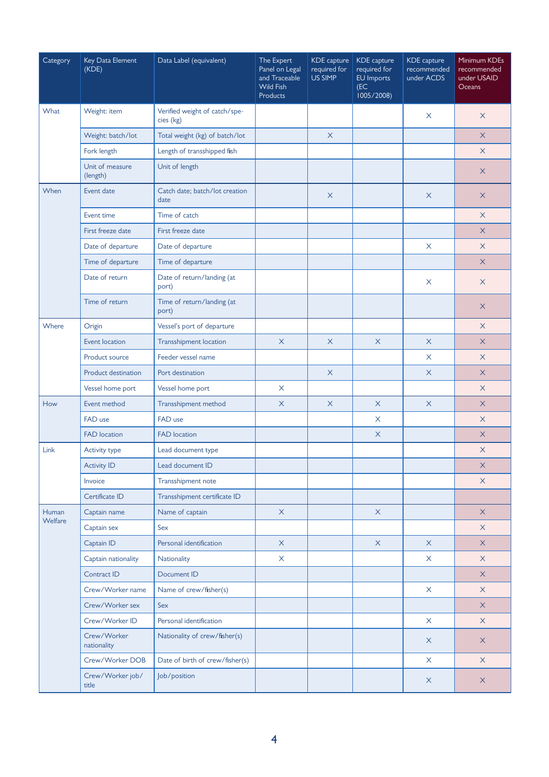| Category | Key Data Element<br>(KDE)   | Data Label (equivalent)                    | The Expert<br>Panel on Legal<br>and Traceable<br><b>Wild Fish</b><br><b>Products</b> | <b>KDE</b> capture<br>required for<br>US SIMP | KDE capture<br>required for<br>EU Imports<br>(EC)<br>1005/2008) | KDE capture<br>recommended<br>under ACDS | Minimum KDEs<br>recommended<br>under USAID<br>Oceans |
|----------|-----------------------------|--------------------------------------------|--------------------------------------------------------------------------------------|-----------------------------------------------|-----------------------------------------------------------------|------------------------------------------|------------------------------------------------------|
| What     | Weight: item                | Verified weight of catch/spe-<br>cies (kg) |                                                                                      |                                               |                                                                 | X                                        | $\times$                                             |
|          | Weight: batch/lot           | Total weight (kg) of batch/lot             |                                                                                      | $\times$                                      |                                                                 |                                          | $\times$                                             |
|          | Fork length                 | Length of transshipped fish                |                                                                                      |                                               |                                                                 |                                          | $\times$                                             |
|          | Unit of measure<br>(length) | Unit of length                             |                                                                                      |                                               |                                                                 |                                          | $\times$                                             |
| When     | Event date                  | Catch date; batch/lot creation<br>date     |                                                                                      | X                                             |                                                                 | X                                        | X                                                    |
|          | Event time                  | Time of catch                              |                                                                                      |                                               |                                                                 |                                          | $\times$                                             |
|          | First freeze date           | First freeze date                          |                                                                                      |                                               |                                                                 |                                          | $\times$                                             |
|          | Date of departure           | Date of departure                          |                                                                                      |                                               |                                                                 | X                                        | $\times$                                             |
|          | Time of departure           | Time of departure                          |                                                                                      |                                               |                                                                 |                                          | X                                                    |
|          | Date of return              | Date of return/landing (at<br>port)        |                                                                                      |                                               |                                                                 | X                                        | X                                                    |
|          | Time of return              | Time of return/landing (at<br>port)        |                                                                                      |                                               |                                                                 |                                          | X                                                    |
| Where    | Origin                      | Vessel's port of departure                 |                                                                                      |                                               |                                                                 |                                          | $\times$                                             |
|          | Event location              | <b>Transshipment location</b>              | $\mathsf{X}$                                                                         | X                                             | $\times$                                                        | $\times$                                 | $\times$                                             |
|          | Product source              | Feeder vessel name                         |                                                                                      |                                               |                                                                 | X                                        | $\times$                                             |
|          | Product destination         | Port destination                           |                                                                                      | $\times$                                      |                                                                 | X                                        | X                                                    |
|          | Vessel home port            | Vessel home port                           | $\times$                                                                             |                                               |                                                                 |                                          | $\times$                                             |
| How      | Event method                | Transshipment method                       | $\mathsf X$                                                                          | $\times$                                      | $\times$                                                        | $\times$                                 | $\times$                                             |
|          | FAD use                     | FAD use                                    |                                                                                      |                                               | $\times$                                                        |                                          | $\times$                                             |
|          | <b>FAD</b> location         | <b>FAD</b> location                        |                                                                                      |                                               | $\mathsf{X}$                                                    |                                          | $\times$                                             |
| Link     | <b>Activity type</b>        | Lead document type                         |                                                                                      |                                               |                                                                 |                                          | X                                                    |
|          | <b>Activity ID</b>          | Lead document ID                           |                                                                                      |                                               |                                                                 |                                          | $\overline{\mathsf{X}}$                              |
|          | Invoice                     | Transshipment note                         |                                                                                      |                                               |                                                                 |                                          | $\times$                                             |
|          | Certificate ID              | Transshipment certificate ID               |                                                                                      |                                               |                                                                 |                                          |                                                      |
| Human    | Captain name                | Name of captain                            | $\times$                                                                             |                                               | $\times$                                                        |                                          | $\times$                                             |
| Welfare  | Captain sex                 | Sex                                        |                                                                                      |                                               |                                                                 |                                          | $\times$                                             |
|          | Captain ID                  | Personal identification                    | $\mathsf X$                                                                          |                                               | $\mathsf X$                                                     | $\times$                                 | $\times$                                             |
|          | Captain nationality         | Nationality                                | $\pmb{\times}$                                                                       |                                               |                                                                 | $\boldsymbol{\mathsf{X}}$                | $\times$                                             |
|          | Contract ID                 | Document ID                                |                                                                                      |                                               |                                                                 |                                          | $\times$                                             |
|          | Crew/Worker name            | Name of crew/fisher(s)                     |                                                                                      |                                               |                                                                 | X                                        | $\times$                                             |
|          | Crew/Worker sex             | Sex                                        |                                                                                      |                                               |                                                                 |                                          | $\times$                                             |
|          | Crew/Worker ID              | Personal identification                    |                                                                                      |                                               |                                                                 | $\times$                                 | $\times$                                             |
|          | Crew/Worker<br>nationality  | Nationality of crew/fisher(s)              |                                                                                      |                                               |                                                                 | $\mathsf X$                              | $\times$                                             |
|          | Crew/Worker DOB             | Date of birth of crew/fisher(s)            |                                                                                      |                                               |                                                                 | $\boldsymbol{\mathsf{X}}$                | $\times$                                             |
|          | Crew/Worker job/<br>title   | Job/position                               |                                                                                      |                                               |                                                                 | $\times$                                 | $\mathsf X$                                          |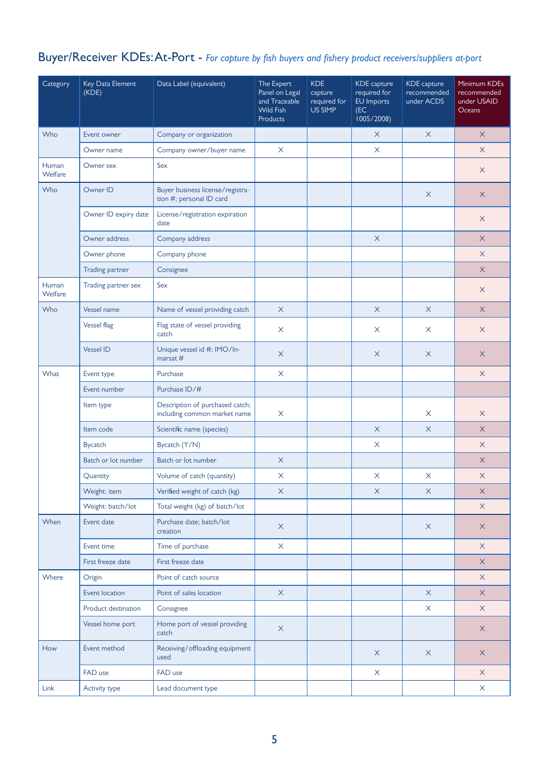## Buyer/Receiver KDEs: At-Port - *For capture by fish buyers and fishery product receivers/suppliers at-port*

| Category                | Key Data Element<br>(KDE) | Data Label (equivalent)                                         | The Expert<br>Panel on Legal<br>and Traceable<br><b>Wild Fish</b><br><b>Products</b> | <b>KDE</b><br>capture<br>required for<br>US SIMP | KDE capture<br>required for<br>EU Imports<br>(EC)<br>1005/2008 | KDE capture<br>recommended<br>under ACDS | Minimum KDEs<br>recommended<br>under USAID<br>Oceans |
|-------------------------|---------------------------|-----------------------------------------------------------------|--------------------------------------------------------------------------------------|--------------------------------------------------|----------------------------------------------------------------|------------------------------------------|------------------------------------------------------|
| Who                     | Event owner               | Company or organization                                         |                                                                                      |                                                  | X                                                              | $\times$                                 | $\times$                                             |
|                         | Owner name                | Company owner/buyer name                                        | $\times$                                                                             |                                                  | X                                                              |                                          | $\times$                                             |
| Human<br>Welfare        | Owner sex                 | Sex                                                             |                                                                                      |                                                  |                                                                |                                          | $\times$                                             |
| Who                     | Owner ID                  | Buyer business license/registra-<br>tion #; personal ID card    |                                                                                      |                                                  |                                                                | $\times$                                 | X                                                    |
|                         | Owner ID expiry date      | License/registration expiration<br>date                         |                                                                                      |                                                  |                                                                |                                          | $\times$                                             |
|                         | Owner address             | Company address                                                 |                                                                                      |                                                  | $\times$                                                       |                                          | X                                                    |
|                         | Owner phone               | Company phone                                                   |                                                                                      |                                                  |                                                                |                                          | $\times$                                             |
|                         | <b>Trading partner</b>    | Consignee                                                       |                                                                                      |                                                  |                                                                |                                          | $\times$                                             |
| Human<br><b>Welfare</b> | Trading partner sex       | Sex                                                             |                                                                                      |                                                  |                                                                |                                          | X                                                    |
| Who                     | Vessel name               | Name of vessel providing catch                                  | $\mathsf X$                                                                          |                                                  | $\times$                                                       | $\times$                                 | $\times$                                             |
|                         | <b>Vessel flag</b>        | Flag state of vessel providing<br>catch                         | $\times$                                                                             |                                                  | $\times$                                                       | X                                        | $\times$                                             |
|                         | <b>Vessel ID</b>          | Unique vessel id #; IMO/In-<br>marsat $#$                       | $\times$                                                                             |                                                  | $\times$                                                       | $\mathsf X$                              | $\mathsf X$                                          |
| What                    | Event type                | Purchase                                                        | $\times$                                                                             |                                                  |                                                                |                                          | $\times$                                             |
|                         | Event number              | Purchase ID/#                                                   |                                                                                      |                                                  |                                                                |                                          |                                                      |
|                         | Item type                 | Description of purchased catch;<br>including common market name | X                                                                                    |                                                  |                                                                | $\times$                                 | $\times$                                             |
|                         | Item code                 | Scientific name (species)                                       |                                                                                      |                                                  | $\mathsf X$                                                    | $\times$                                 | $\times$                                             |
|                         | <b>Bycatch</b>            | Bycatch (Y/N)                                                   |                                                                                      |                                                  | $\times$                                                       |                                          | $\times$                                             |
|                         | Batch or lot number       | Batch or lot number                                             | $\times$                                                                             |                                                  |                                                                |                                          | X                                                    |
|                         | Quantity                  | Volume of catch (quantity)                                      | $\boldsymbol{\mathsf{X}}$                                                            |                                                  | $\boldsymbol{\times}$                                          | $\times$                                 | $\mathsf X$                                          |
|                         | Weight: item              | Verified weight of catch (kg)                                   | X                                                                                    |                                                  | X                                                              | X                                        | X                                                    |
|                         | Weight: batch/lot         | Total weight (kg) of batch/lot                                  |                                                                                      |                                                  |                                                                |                                          | $\times$                                             |
| When                    | Event date                | Purchase date; batch/lot<br>creation                            | $\mathsf X$                                                                          |                                                  |                                                                | $\times$                                 | $\mathsf X$                                          |
|                         | Event time                | Time of purchase                                                | $\boldsymbol{\mathsf{X}}$                                                            |                                                  |                                                                |                                          | $\times$                                             |
|                         | First freeze date         | First freeze date                                               |                                                                                      |                                                  |                                                                |                                          | $\times$                                             |
| Where                   | Origin                    | Point of catch source                                           |                                                                                      |                                                  |                                                                |                                          | $\times$                                             |
|                         | Event location            | Point of sales location                                         | $\times$                                                                             |                                                  |                                                                | $\mathsf{X}$                             | $\mathsf{X}$                                         |
|                         | Product destination       | Consignee                                                       |                                                                                      |                                                  |                                                                | $\mathsf X$                              | $\mathsf X$                                          |
|                         | Vessel home port          | Home port of vessel providing<br>catch                          | $\times$                                                                             |                                                  |                                                                |                                          | $\mathsf X$                                          |
| How                     | Event method              | Receiving/offloading equipment<br>used                          |                                                                                      |                                                  | $\times$                                                       | $\times$                                 | $\mathsf X$                                          |
|                         | FAD use                   | FAD use                                                         |                                                                                      |                                                  | X                                                              |                                          | $\times$                                             |
| Link                    | Activity type             | Lead document type                                              |                                                                                      |                                                  |                                                                |                                          | X                                                    |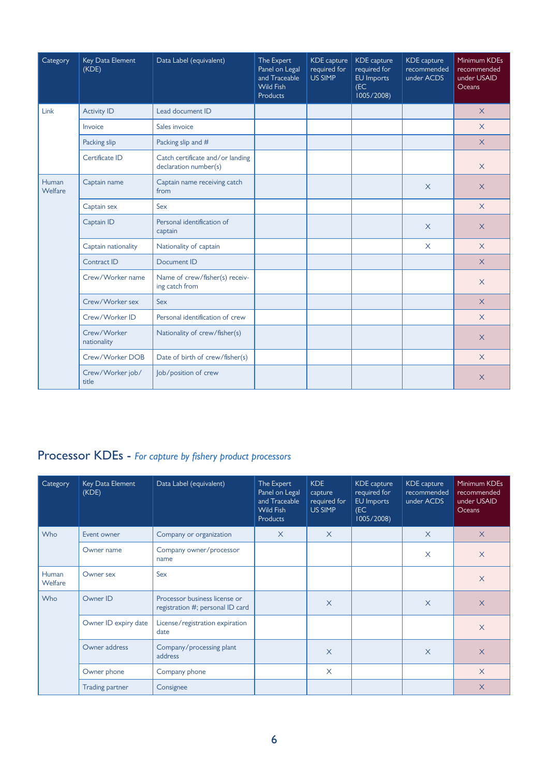| Category         | Key Data Element<br>(KDE)  | Data Label (equivalent)                                   | The Expert<br>Panel on Legal<br>and Traceable<br><b>Wild Fish</b><br><b>Products</b> | <b>KDE</b> capture<br>required for<br>US SIMP | <b>KDE</b> capture<br>required for<br><b>EU</b> Imports<br>(EC)<br>1005/2008 | <b>KDE</b> capture<br>recommended<br>under ACDS | Minimum KDEs<br>recommended<br>under USAID<br><b>Oceans</b> |
|------------------|----------------------------|-----------------------------------------------------------|--------------------------------------------------------------------------------------|-----------------------------------------------|------------------------------------------------------------------------------|-------------------------------------------------|-------------------------------------------------------------|
| Link             | <b>Activity ID</b>         | Lead document ID                                          |                                                                                      |                                               |                                                                              |                                                 | $\times$                                                    |
|                  | Invoice                    | Sales invoice                                             |                                                                                      |                                               |                                                                              |                                                 | $\times$                                                    |
|                  | Packing slip               | Packing slip and #                                        |                                                                                      |                                               |                                                                              |                                                 | $\overline{X}$                                              |
|                  | Certificate ID             | Catch certificate and/or landing<br>declaration number(s) |                                                                                      |                                               |                                                                              |                                                 | $\times$                                                    |
| Human<br>Welfare | Captain name               | Captain name receiving catch<br>from                      |                                                                                      |                                               |                                                                              | $\times$                                        | $\times$                                                    |
|                  | Captain sex                | Sex                                                       |                                                                                      |                                               |                                                                              |                                                 | $\times$                                                    |
|                  | Captain ID                 | Personal identification of<br>captain                     |                                                                                      |                                               |                                                                              | $\times$                                        | $\times$                                                    |
|                  | Captain nationality        | Nationality of captain                                    |                                                                                      |                                               |                                                                              | $\times$                                        | $\times$                                                    |
|                  | Contract ID                | Document ID                                               |                                                                                      |                                               |                                                                              |                                                 | $\times$                                                    |
|                  | Crew/Worker name           | Name of crew/fisher(s) receiv-<br>ing catch from          |                                                                                      |                                               |                                                                              |                                                 | $\times$                                                    |
|                  | Crew/Worker sex            | Sex                                                       |                                                                                      |                                               |                                                                              |                                                 | $\times$                                                    |
|                  | Crew/Worker ID             | Personal identification of crew                           |                                                                                      |                                               |                                                                              |                                                 | $\times$                                                    |
|                  | Crew/Worker<br>nationality | Nationality of crew/fisher(s)                             |                                                                                      |                                               |                                                                              |                                                 | $\times$                                                    |
|                  | Crew/Worker DOB            | Date of birth of crew/fisher(s)                           |                                                                                      |                                               |                                                                              |                                                 | $\times$                                                    |
|                  | Crew/Worker job/<br>title  | Job/position of crew                                      |                                                                                      |                                               |                                                                              |                                                 | $\times$                                                    |

## Processor KDEs - *For capture by fishery product processors*

| Category         | Key Data Element<br>(KDE) | Data Label (equivalent)                                           | The Expert<br>Panel on Legal<br>and Traceable<br><b>Wild Fish</b><br><b>Products</b> | <b>KDE</b><br>capture<br>required for<br>US SIMP | KDE capture<br>required for<br>EU Imports<br>(EC)<br>1005/2008 | KDE capture<br>recommended<br>under ACDS | Minimum KDEs<br>recommended<br>under USAID<br><b>Oceans</b> |
|------------------|---------------------------|-------------------------------------------------------------------|--------------------------------------------------------------------------------------|--------------------------------------------------|----------------------------------------------------------------|------------------------------------------|-------------------------------------------------------------|
| Who              | Event owner               | Company or organization                                           | $\times$                                                                             | $\times$                                         |                                                                | $\times$                                 | $\times$                                                    |
|                  | Owner name                | Company owner/processor<br>name                                   |                                                                                      |                                                  |                                                                | $\times$                                 | $\times$                                                    |
| Human<br>Welfare | Owner sex                 | Sex                                                               |                                                                                      |                                                  |                                                                |                                          | $\times$                                                    |
| Who              | Owner ID                  | Processor business license or<br>registration #; personal ID card |                                                                                      | $\times$                                         |                                                                | $\times$                                 | $\times$                                                    |
|                  | Owner ID expiry date      | License/registration expiration<br>date                           |                                                                                      |                                                  |                                                                |                                          | $\times$                                                    |
|                  | Owner address             | Company/processing plant<br>address                               |                                                                                      | $\times$                                         |                                                                | $\times$                                 | $\times$                                                    |
|                  | Owner phone               | Company phone                                                     |                                                                                      | $\times$                                         |                                                                |                                          | $\times$                                                    |
|                  | Trading partner           | Consignee                                                         |                                                                                      |                                                  |                                                                |                                          | $\times$                                                    |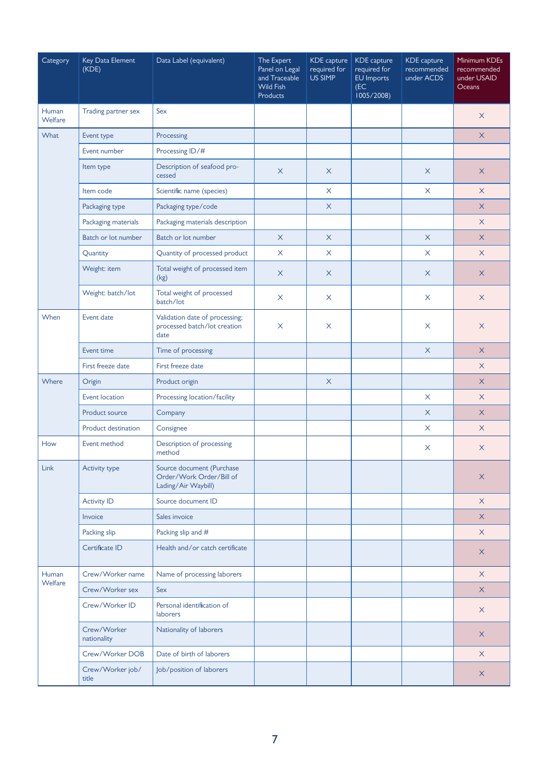| Category         | Key Data Element<br>(KDE)  | Data Label (equivalent)                                                      | The Expert<br>Panel on Legal<br>and Traceable<br><b>Wild Fish</b><br><b>Products</b> | <b>KDE</b> capture<br>required for<br>US SIMP | <b>KDE</b> capture<br>required for<br>EU Imports<br>(EC)<br>1005/2008 | KDE capture<br>recommended<br>under ACDS | Minimum KDEs<br>recommended<br>under USAID<br>Oceans |
|------------------|----------------------------|------------------------------------------------------------------------------|--------------------------------------------------------------------------------------|-----------------------------------------------|-----------------------------------------------------------------------|------------------------------------------|------------------------------------------------------|
| Human<br>Welfare | Trading partner sex        | Sex                                                                          |                                                                                      |                                               |                                                                       |                                          | $\times$                                             |
| What             | Event type                 | Processing                                                                   |                                                                                      |                                               |                                                                       |                                          | $\times$                                             |
|                  | Event number               | Processing ID/#                                                              |                                                                                      |                                               |                                                                       |                                          |                                                      |
|                  | Item type                  | Description of seafood pro-<br>cessed                                        | $\times$                                                                             | X                                             |                                                                       | $\times$                                 | $\times$                                             |
|                  | Item code                  | Scientific name (species)                                                    |                                                                                      | X                                             |                                                                       | X                                        | $\times$                                             |
|                  | Packaging type             | Packaging type/code                                                          |                                                                                      | $\times$                                      |                                                                       |                                          | $\times$                                             |
|                  | Packaging materials        | Packaging materials description                                              |                                                                                      |                                               |                                                                       |                                          | $\times$                                             |
|                  | Batch or lot number        | Batch or lot number                                                          | $\times$                                                                             | $\times$                                      |                                                                       | $\times$                                 | $\times$                                             |
|                  | Quantity                   | Quantity of processed product                                                | $\times$                                                                             | X                                             |                                                                       | $\times$                                 | $\times$                                             |
|                  | Weight: item               | Total weight of processed item<br>(kg)                                       | $\times$                                                                             | X                                             |                                                                       | $\times$                                 | $\times$                                             |
|                  | Weight: batch/lot          | Total weight of processed<br>batch/lot                                       | X                                                                                    | X                                             |                                                                       | $\times$                                 | $\times$                                             |
| When             | Event date                 | Validation date of processing;<br>processed batch/lot creation<br>date       | $\times$                                                                             | X                                             |                                                                       | X                                        | X                                                    |
|                  | Event time                 | Time of processing                                                           |                                                                                      |                                               |                                                                       | $\boldsymbol{\mathsf{X}}$                | $\times$                                             |
|                  | First freeze date          | First freeze date                                                            |                                                                                      |                                               |                                                                       |                                          | $\times$                                             |
| Where            | Origin                     | Product origin                                                               |                                                                                      | $\times$                                      |                                                                       |                                          | $\times$                                             |
|                  | Event location             | Processing location/facility                                                 |                                                                                      |                                               |                                                                       | $\times$                                 | $\times$                                             |
|                  | Product source             | Company                                                                      |                                                                                      |                                               |                                                                       | X                                        | $\times$                                             |
|                  | <b>Product destination</b> | Consignee                                                                    |                                                                                      |                                               |                                                                       | $\times$                                 | $\times$                                             |
| How              | Event method               | Description of processing<br>method                                          |                                                                                      |                                               |                                                                       | X                                        | X                                                    |
| Link             | Activity type              | Source document (Purchase<br>Order/Work Order/Bill of<br>Lading/Air Waybill) |                                                                                      |                                               |                                                                       |                                          | X                                                    |
|                  | <b>Activity ID</b>         | Source document ID                                                           |                                                                                      |                                               |                                                                       |                                          | $\times$                                             |
|                  | Invoice                    | Sales invoice                                                                |                                                                                      |                                               |                                                                       |                                          | $\times$                                             |
|                  | Packing slip               | Packing slip and #                                                           |                                                                                      |                                               |                                                                       |                                          | $\times$                                             |
|                  | Certificate ID             | Health and/or catch certificate                                              |                                                                                      |                                               |                                                                       |                                          | X                                                    |
| Human            | Crew/Worker name           | Name of processing laborers                                                  |                                                                                      |                                               |                                                                       |                                          | $\times$                                             |
| Welfare          | Crew/Worker sex            | Sex                                                                          |                                                                                      |                                               |                                                                       |                                          | $\times$                                             |
|                  | Crew/Worker ID             | Personal identification of<br><b>laborers</b>                                |                                                                                      |                                               |                                                                       |                                          | $\times$                                             |
|                  | Crew/Worker<br>nationality | Nationality of laborers                                                      |                                                                                      |                                               |                                                                       |                                          | $\mathsf X$                                          |
|                  | Crew/Worker DOB            | Date of birth of laborers                                                    |                                                                                      |                                               |                                                                       |                                          | $\times$                                             |
|                  | Crew/Worker job/<br>title  | Job/position of laborers                                                     |                                                                                      |                                               |                                                                       |                                          | X                                                    |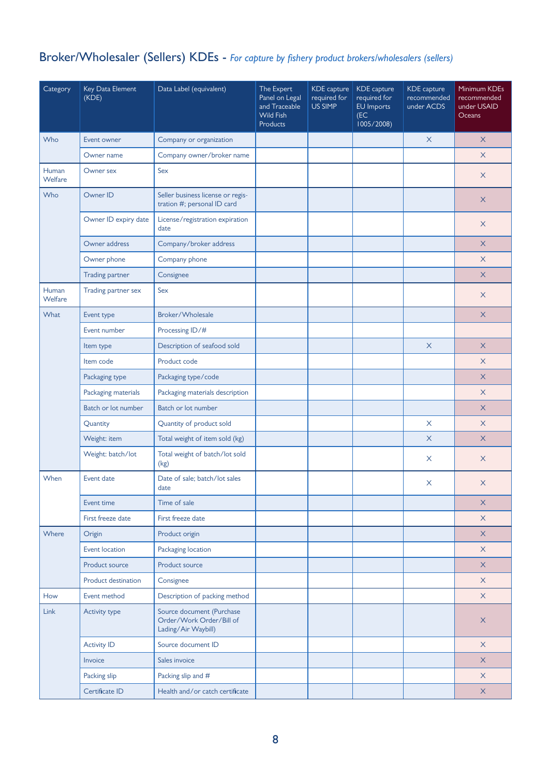## Broker/Wholesaler (Sellers) KDEs - *For capture by fishery product brokers/wholesalers (sellers)*

| Category                | Key Data Element<br>(KDE) | Data Label (equivalent)                                                      | The Expert<br>Panel on Legal<br>and Traceable<br><b>Wild Fish</b><br><b>Products</b> | <b>KDE</b> capture<br>required for<br>US SIMP | KDE capture<br>required for<br>EU Imports<br>(EC)<br>1005/2008) | KDE capture<br>recommended<br>under ACDS | Minimum KDEs<br>recommended<br>under USAID<br>Oceans |
|-------------------------|---------------------------|------------------------------------------------------------------------------|--------------------------------------------------------------------------------------|-----------------------------------------------|-----------------------------------------------------------------|------------------------------------------|------------------------------------------------------|
| Who                     | Event owner               | Company or organization                                                      |                                                                                      |                                               |                                                                 | $\times$                                 | $\times$                                             |
|                         | Owner name                | Company owner/broker name                                                    |                                                                                      |                                               |                                                                 |                                          | $\times$                                             |
| Human<br>Welfare        | Owner sex                 | Sex                                                                          |                                                                                      |                                               |                                                                 |                                          | $\times$                                             |
| Who                     | Owner ID                  | Seller business license or regis-<br>tration #; personal ID card             |                                                                                      |                                               |                                                                 |                                          | X                                                    |
|                         | Owner ID expiry date      | License/registration expiration<br>date                                      |                                                                                      |                                               |                                                                 |                                          | $\times$                                             |
|                         | Owner address             | Company/broker address                                                       |                                                                                      |                                               |                                                                 |                                          | X                                                    |
|                         | Owner phone               | Company phone                                                                |                                                                                      |                                               |                                                                 |                                          | $\times$                                             |
|                         | <b>Trading partner</b>    | Consignee                                                                    |                                                                                      |                                               |                                                                 |                                          | $\times$                                             |
| Human<br><b>Welfare</b> | Trading partner sex       | Sex                                                                          |                                                                                      |                                               |                                                                 |                                          | X                                                    |
| What                    | Event type                | Broker/Wholesale                                                             |                                                                                      |                                               |                                                                 |                                          | $\times$                                             |
|                         | Event number              | Processing ID/#                                                              |                                                                                      |                                               |                                                                 |                                          |                                                      |
|                         | Item type                 | Description of seafood sold                                                  |                                                                                      |                                               |                                                                 | $\times$                                 | $\times$                                             |
|                         | Item code                 | Product code                                                                 |                                                                                      |                                               |                                                                 |                                          | $\times$                                             |
|                         | Packaging type            | Packaging type/code                                                          |                                                                                      |                                               |                                                                 |                                          | X                                                    |
|                         | Packaging materials       | Packaging materials description                                              |                                                                                      |                                               |                                                                 |                                          | $\times$                                             |
|                         | Batch or lot number       | Batch or lot number                                                          |                                                                                      |                                               |                                                                 |                                          | X                                                    |
|                         | Quantity                  | Quantity of product sold                                                     |                                                                                      |                                               |                                                                 | $\times$                                 | $\times$                                             |
|                         | Weight: item              | Total weight of item sold (kg)                                               |                                                                                      |                                               |                                                                 | $\times$                                 | $\times$                                             |
|                         | Weight: batch/lot         | Total weight of batch/lot sold<br>(kg)                                       |                                                                                      |                                               |                                                                 | X                                        | X                                                    |
| When                    | Event date                | Date of sale: batch/lot sales<br>date                                        |                                                                                      |                                               |                                                                 | $\times$                                 | X                                                    |
|                         | Event time                | Time of sale                                                                 |                                                                                      |                                               |                                                                 |                                          | $\times$                                             |
|                         | First freeze date         | First freeze date                                                            |                                                                                      |                                               |                                                                 |                                          | $\mathsf X$                                          |
| Where                   | Origin                    | Product origin                                                               |                                                                                      |                                               |                                                                 |                                          | $\times$                                             |
|                         | Event location            | Packaging location                                                           |                                                                                      |                                               |                                                                 |                                          | $\times$                                             |
|                         | Product source            | Product source                                                               |                                                                                      |                                               |                                                                 |                                          | $\times$                                             |
|                         | Product destination       | Consignee                                                                    |                                                                                      |                                               |                                                                 |                                          | $\times$                                             |
| How                     | Event method              | Description of packing method                                                |                                                                                      |                                               |                                                                 |                                          | $\mathsf X$                                          |
| Link                    | Activity type             | Source document (Purchase<br>Order/Work Order/Bill of<br>Lading/Air Waybill) |                                                                                      |                                               |                                                                 |                                          | $\times$                                             |
|                         | <b>Activity ID</b>        | Source document ID                                                           |                                                                                      |                                               |                                                                 |                                          | $\times$                                             |
|                         | Invoice                   | Sales invoice                                                                |                                                                                      |                                               |                                                                 |                                          | $\mathsf{X}$                                         |
|                         | Packing slip              | Packing slip and #                                                           |                                                                                      |                                               |                                                                 |                                          | $\times$                                             |
|                         | Certificate ID            | Health and/or catch certificate                                              |                                                                                      |                                               |                                                                 |                                          | $\mathsf X$                                          |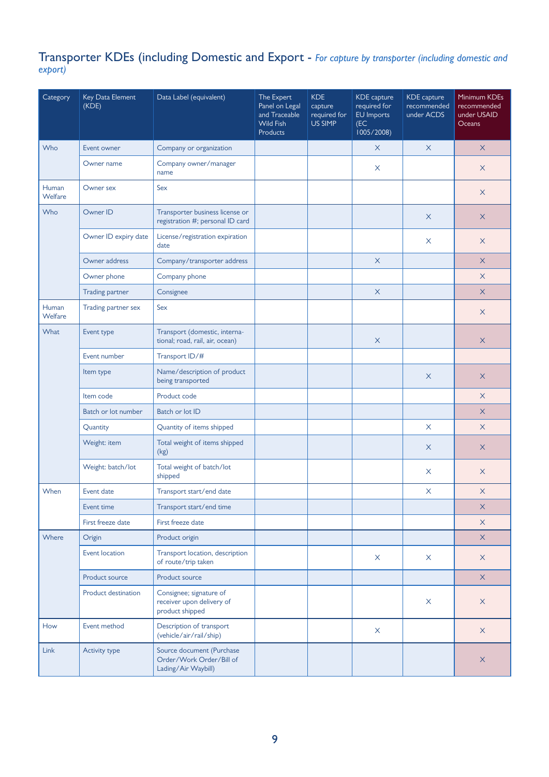#### Transporter KDEs (including Domestic and Export - *For capture by transporter (including domestic and export)*

| Category         | Key Data Element<br>(KDE) | Data Label (equivalent)                                                      | The Expert<br>Panel on Legal<br>and Traceable<br><b>Wild Fish</b><br><b>Products</b> | <b>KDE</b><br>capture<br>required for<br>US SIMP | KDE capture<br>required for<br>EU Imports<br>(EC)<br>1005/2008) | KDE capture<br>recommended<br>under ACDS | Minimum KDEs<br>recommended<br>under USAID<br>Oceans |
|------------------|---------------------------|------------------------------------------------------------------------------|--------------------------------------------------------------------------------------|--------------------------------------------------|-----------------------------------------------------------------|------------------------------------------|------------------------------------------------------|
| Who              | Event owner               | Company or organization                                                      |                                                                                      |                                                  | $\times$                                                        | $\times$                                 | $\times$                                             |
|                  | Owner name                | Company owner/manager<br>name                                                |                                                                                      |                                                  | X                                                               |                                          | X                                                    |
| Human<br>Welfare | Owner sex                 | Sex                                                                          |                                                                                      |                                                  |                                                                 |                                          | $\times$                                             |
| Who              | Owner ID                  | Transporter business license or<br>registration #; personal ID card          |                                                                                      |                                                  |                                                                 | $\times$                                 | X                                                    |
|                  | Owner ID expiry date      | License/registration expiration<br>date                                      |                                                                                      |                                                  |                                                                 | X                                        | X                                                    |
|                  | Owner address             | Company/transporter address                                                  |                                                                                      |                                                  | $\times$                                                        |                                          | $\times$                                             |
|                  | Owner phone               | Company phone                                                                |                                                                                      |                                                  |                                                                 |                                          | $\times$                                             |
|                  | <b>Trading partner</b>    | Consignee                                                                    |                                                                                      |                                                  | $\times$                                                        |                                          | $\times$                                             |
| Human<br>Welfare | Trading partner sex       | Sex                                                                          |                                                                                      |                                                  |                                                                 |                                          | X                                                    |
| <b>What</b>      | Event type                | Transport (domestic, interna-<br>tional; road, rail, air, ocean)             |                                                                                      |                                                  | X                                                               |                                          | X                                                    |
|                  | Event number              | Transport ID/#                                                               |                                                                                      |                                                  |                                                                 |                                          |                                                      |
|                  | Item type                 | Name/description of product<br>being transported                             |                                                                                      |                                                  |                                                                 | $\times$                                 | $\times$                                             |
|                  | Item code                 | Product code                                                                 |                                                                                      |                                                  |                                                                 |                                          | X                                                    |
|                  | Batch or lot number       | Batch or lot ID                                                              |                                                                                      |                                                  |                                                                 |                                          | $\times$                                             |
|                  | Quantity                  | Quantity of items shipped                                                    |                                                                                      |                                                  |                                                                 | $\times$                                 | $\times$                                             |
|                  | Weight: item              | Total weight of items shipped<br>(kg)                                        |                                                                                      |                                                  |                                                                 | X                                        | X                                                    |
|                  | Weight: batch/lot         | Total weight of batch/lot<br>shipped                                         |                                                                                      |                                                  |                                                                 | X                                        | X                                                    |
| When             | Event date                | Transport start/end date                                                     |                                                                                      |                                                  |                                                                 | $\boldsymbol{\mathsf{X}}$                | $\times$                                             |
|                  | Event time                | Transport start/end time                                                     |                                                                                      |                                                  |                                                                 |                                          | $\times$                                             |
|                  | First freeze date         | First freeze date                                                            |                                                                                      |                                                  |                                                                 |                                          | $\times$                                             |
| Where            | Origin                    | Product origin                                                               |                                                                                      |                                                  |                                                                 |                                          | $\times$                                             |
|                  | Event location            | Transport location, description<br>of route/trip taken                       |                                                                                      |                                                  | X                                                               | X                                        | $\times$                                             |
|                  | Product source            | Product source                                                               |                                                                                      |                                                  |                                                                 |                                          | $\times$                                             |
|                  | Product destination       | Consignee; signature of<br>receiver upon delivery of<br>product shipped      |                                                                                      |                                                  |                                                                 | X                                        | $\times$                                             |
| How              | Event method              | Description of transport<br>(vehicle/air/rail/ship)                          |                                                                                      |                                                  | X                                                               |                                          | $\times$                                             |
| Link             | Activity type             | Source document (Purchase<br>Order/Work Order/Bill of<br>Lading/Air Waybill) |                                                                                      |                                                  |                                                                 |                                          | $\times$                                             |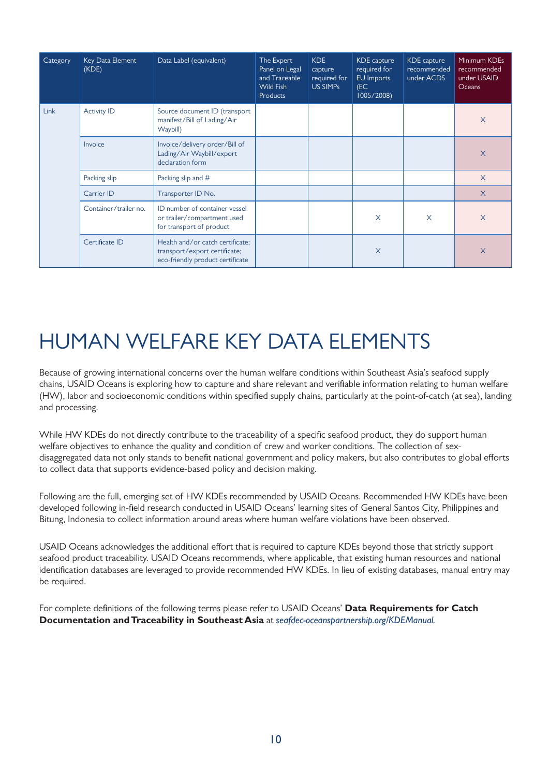| Category | Key Data Element<br>(KDE) | Data Label (equivalent)                                                                               | The Expert<br>Panel on Legal<br>and Traceable<br><b>Wild Fish</b><br>Products | <b>KDE</b><br>capture<br>required for<br>US SIMPs | KDE capture<br>required for<br>EU Imports<br>(EC)<br>1005/2008) | KDE capture<br>recommended<br>under ACDS | Minimum KDEs<br>recommended<br>under USAID<br>Oceans |
|----------|---------------------------|-------------------------------------------------------------------------------------------------------|-------------------------------------------------------------------------------|---------------------------------------------------|-----------------------------------------------------------------|------------------------------------------|------------------------------------------------------|
| Link     | <b>Activity ID</b>        | Source document ID (transport<br>manifest/Bill of Lading/Air<br>Waybill)                              |                                                                               |                                                   |                                                                 |                                          | $\times$                                             |
|          | Invoice                   | Invoice/delivery order/Bill of<br>Lading/Air Waybill/export<br>declaration form                       |                                                                               |                                                   |                                                                 |                                          | $\times$                                             |
|          | Packing slip              | Packing slip and #                                                                                    |                                                                               |                                                   |                                                                 |                                          | $\times$                                             |
|          | Carrier ID                | Transporter ID No.                                                                                    |                                                                               |                                                   |                                                                 |                                          | $\times$                                             |
|          | Container/trailer no.     | ID number of container vessel<br>or trailer/compartment used<br>for transport of product              |                                                                               |                                                   | X                                                               | $\times$                                 | $\times$                                             |
|          | Certificate ID            | Health and/or catch certificate:<br>transport/export certificate;<br>eco-friendly product certificate |                                                                               |                                                   | $\times$                                                        |                                          | $\times$                                             |

# HUMAN WELFARE KEY DATA ELEMENTS

Because of growing international concerns over the human welfare conditions within Southeast Asia's seafood supply chains, USAID Oceans is exploring how to capture and share relevant and verifiable information relating to human welfare (HW), labor and socioeconomic conditions within specified supply chains, particularly at the point-of-catch (at sea), landing and processing.

While HW KDEs do not directly contribute to the traceability of a specific seafood product, they do support human welfare objectives to enhance the quality and condition of crew and worker conditions. The collection of sexdisaggregated data not only stands to benefit national government and policy makers, but also contributes to global efforts to collect data that supports evidence-based policy and decision making.

Following are the full, emerging set of HW KDEs recommended by USAID Oceans. Recommended HW KDEs have been developed following in-field research conducted in USAID Oceans' learning sites of General Santos City, Philippines and Bitung, Indonesia to collect information around areas where human welfare violations have been observed.

USAID Oceans acknowledges the additional effort that is required to capture KDEs beyond those that strictly support seafood product traceability. USAID Oceans recommends, where applicable, that existing human resources and national identification databases are leveraged to provide recommended HW KDEs. In lieu of existing databases, manual entry may be required.

For complete definitions of the following terms please refer to USAID Oceans' **Data Requirements for Catch Documentation and Traceability in Southeast Asia** at *seafdec-oceanspartnership.org/KDEManual.*